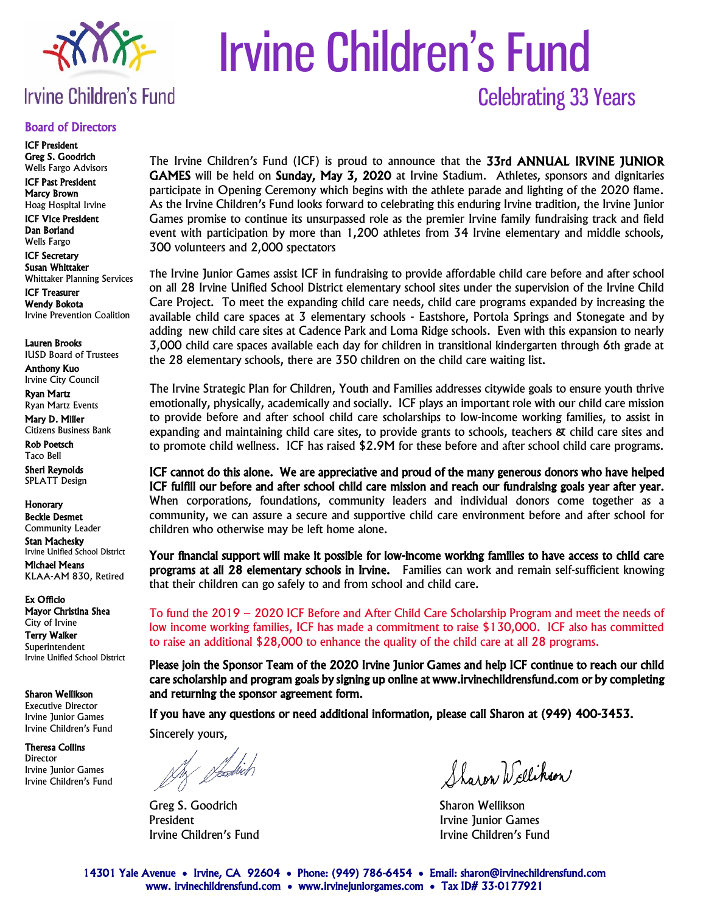

# Irvine Children's Fund Celebrating 33 Years

# **Irvine Children's Fund**

#### Board of Directors

ICF President Greg S. Goodrich Wells Fargo Advisors

ICF Past President Marcy Brown Hoag Hospital Irvine

ICF Vice President Dan Borland Wells Fargo

ICF Secretary

Susan Whittaker Whittaker Planning Services

ICF Treasurer Wendy Bokota Irvine Prevention Coalition

Lauren Brooks IUSD Board of Trustees

Anthony Kuo Irvine City Council

Ryan Martz Ryan Martz Events

Mary D. Miller Citizens Business Bank

Rob Poetsch Taco Bell

Sheri Reynolds SPLATT Design

**Honorary** Beckie Desmet

Community Leader

Stan Machesky Irvine Unified School District Michael Means KLAA-AM 830, Retired

Ex Officio Mayor Christina Shea City of Irvine Terry Walker **Superintendent** Irvine Unified School District

Sharon Wellikson

Executive Director Irvine Junior Games Irvine Children's Fund

Theresa Collins Director Irvine Junior Games Irvine Children's Fund The Irvine Children's Fund (ICF) is proud to announce that the 33rd ANNUAL IRVINE JUNIOR GAMES will be held on Sunday, May 3, 2020 at Irvine Stadium. Athletes, sponsors and dignitaries participate in Opening Ceremony which begins with the athlete parade and lighting of the 2020 flame. As the Irvine Children's Fund looks forward to celebrating this enduring Irvine tradition, the Irvine Junior Games promise to continue its unsurpassed role as the premier Irvine family fundraising track and field event with participation by more than 1,200 athletes from 34 Irvine elementary and middle schools, 300 volunteers and 2,000 spectators

The Irvine Junior Games assist ICF in fundraising to provide affordable child care before and after school on all 28 Irvine Unified School District elementary school sites under the supervision of the Irvine Child Care Project. To meet the expanding child care needs, child care programs expanded by increasing the available child care spaces at 3 elementary schools - Eastshore, Portola Springs and Stonegate and by adding new child care sites at Cadence Park and Loma Ridge schools. Even with this expansion to nearly 3,000 child care spaces available each day for children in transitional kindergarten through 6th grade at the 28 elementary schools, there are 350 children on the child care waiting list.

The Irvine Strategic Plan for Children, Youth and Families addresses citywide goals to ensure youth thrive emotionally, physically, academically and socially. ICF plays an important role with our child care mission to provide before and after school child care scholarships to low-income working families, to assist in expanding and maintaining child care sites, to provide grants to schools, teachers & child care sites and to promote child wellness. ICF has raised \$2.9M for these before and after school child care programs.

ICF cannot do this alone. We are appreciative and proud of the many generous donors who have helped ICF fulfill our before and after school child care mission and reach our fundraising goals year after year. When corporations, foundations, community leaders and individual donors come together as a community, we can assure a secure and supportive child care environment before and after school for children who otherwise may be left home alone.

Your financial support will make it possible for low-income working families to have access to child care programs at all 28 elementary schools in Irvine. Families can work and remain self-sufficient knowing that their children can go safely to and from school and child care.

To fund the 2019 – 2020 ICF Before and After Child Care Scholarship Program and meet the needs of low income working families, ICF has made a commitment to raise \$130,000. ICF also has committed to raise an additional \$28,000 to enhance the quality of the child care at all 28 programs.

Please join the Sponsor Team of the 2020 Irvine Junior Games and help ICF continue to reach our child care scholarship and program goals by signing up online at www.irvinechildrensfund.com or by completing and returning the sponsor agreement form.

If you have any questions or need additional information, please call Sharon at (949) 400-3453. Sincerely yours,

/z/ plastick

Greg S. Goodrich Sharon Wellikson President **Irvine Junior Games Irvine Junior Games** 

Sharen Wellikson

Irvine Children's Fund Irvine Children's Fund

14301 Yale Avenue • Irvine, CA 92604 • Phone: (949) 786-6454 • Email: sharon@irvinechildrensfund.com www. irvinechildrensfund.com • www.irvinejuniorgames.com • Tax ID# 33-0177921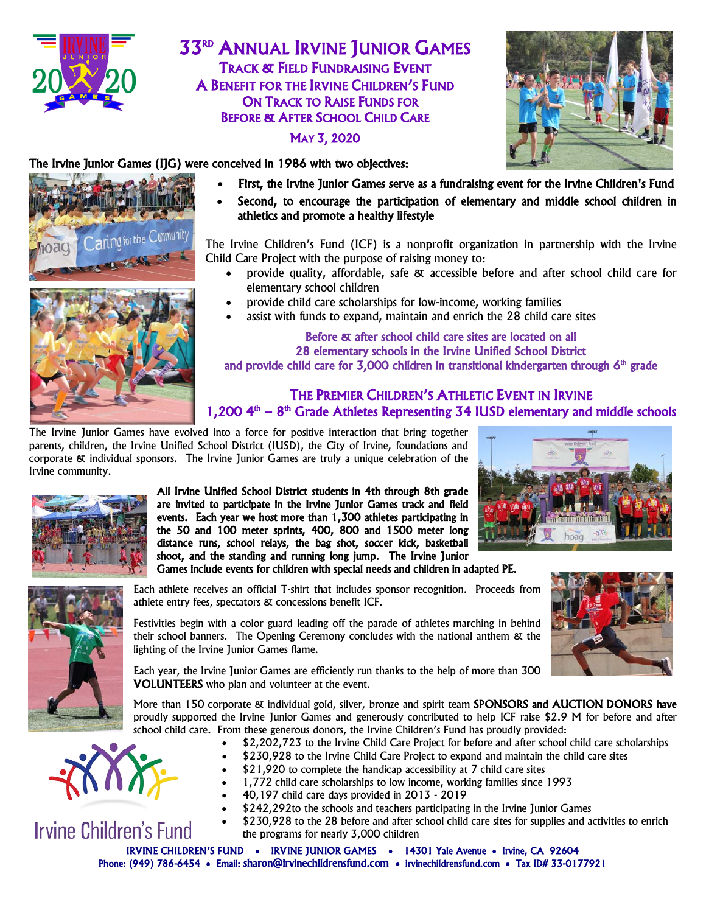

**33RD ANNUAL IRVINE JUNIOR GAMES** TRACK & FIELD FUNDRAISING EVENT A BENEFIT FOR THE IRVINE CHILDREN'S FUND ON TRACK TO RAISE FUNDS FOR BEFORE & AFTER SCHOOL CHILD CARE

#### MAY 3, 2020



#### The Irvine Junior Games (IJG) were conceived in 1986 with two objectives:





- First, the Irvine Junior Games serve as a fundraising event for the Irvine Children's Fund
- Second, to encourage the participation of elementary and middle school children in athletics and promote a healthy lifestyle

The Irvine Children's Fund (ICF) is a nonprofit organization in partnership with the Irvine Child Care Project with the purpose of raising money to:

- provide quality, affordable, safe & accessible before and after school child care for elementary school children
- provide child care scholarships for low-income, working families
- assist with funds to expand, maintain and enrich the 28 child care sites

#### Before & after school child care sites are located on all 28 elementary schools in the Irvine Unified School District and provide child care for 3,000 children in transitional kindergarten through  $6<sup>th</sup>$  grade

#### THE PREMIER CHILDREN'S ATHLETIC EVENT IN IRVINE 1,200  $4<sup>th</sup> - 8<sup>th</sup>$  Grade Athletes Representing 34 IUSD elementary and middle schools

The Irvine Junior Games have evolved into a force for positive interaction that bring together parents, children, the Irvine Unified School District (IUSD), the City of Irvine, foundations and corporate & individual sponsors. The Irvine Junior Games are truly a unique celebration of the Irvine community.



All Irvine Unified School District students in 4th through 8th grade are invited to participate in the Irvine Junior Games track and field events. Each year we host more than 1,300 athletes participating in the 50 and 100 meter sprints, 400, 800 and 1500 meter long distance runs, school relays, the bag shot, soccer kick, basketball shoot, and the standing and running long jump. The Irvine Junior Games include events for children with special needs and children in adapted PE.





Each athlete receives an official T-shirt that includes sponsor recognition. Proceeds from athlete entry fees, spectators & concessions benefit ICF.

Festivities begin with a color guard leading off the parade of athletes marching in behind their school banners. The Opening Ceremony concludes with the national anthem & the lighting of the Irvine Junior Games flame.

Each year, the Irvine Junior Games are efficiently run thanks to the help of more than 300 VOLUNTEERS who plan and volunteer at the event.

More than 150 corporate & individual gold, silver, bronze and spirit team SPONSORS and AUCTION DONORS have proudly supported the Irvine Junior Games and generously contributed to help ICF raise \$2.9 M for before and after school child care. From these generous donors, the Irvine Children's Fund has proudly provided:

- \$2,202,723 to the Irvine Child Care Project for before and after school child care scholarships
- \$230,928 to the Irvine Child Care Project to expand and maintain the child care sites
	- \$21,920 to complete the handicap accessibility at 7 child care sites
- 1,772 child care scholarships to low income, working families since 1993
- 40,197 child care days provided in 2013 2019
- \$242,292to the schools and teachers participating in the Irvine Junior Games
- \$230,928 to the 28 before and after school child care sites for supplies and activities to enrich the programs for nearly 3,000 children

IRVINE CHILDREN'S FUND • IRVINE JUNIOR GAMES • 14301 Yale Avenue • Irvine, CA 92604 Phone: (949) 786-6454 • Email: [sharon@irvinechildrensfund.com](mailto:sharon@irvinechildrensfund.com) • irvinechildrensfund.com • Tax ID# 33-0177921



**Irvine Children's Fund**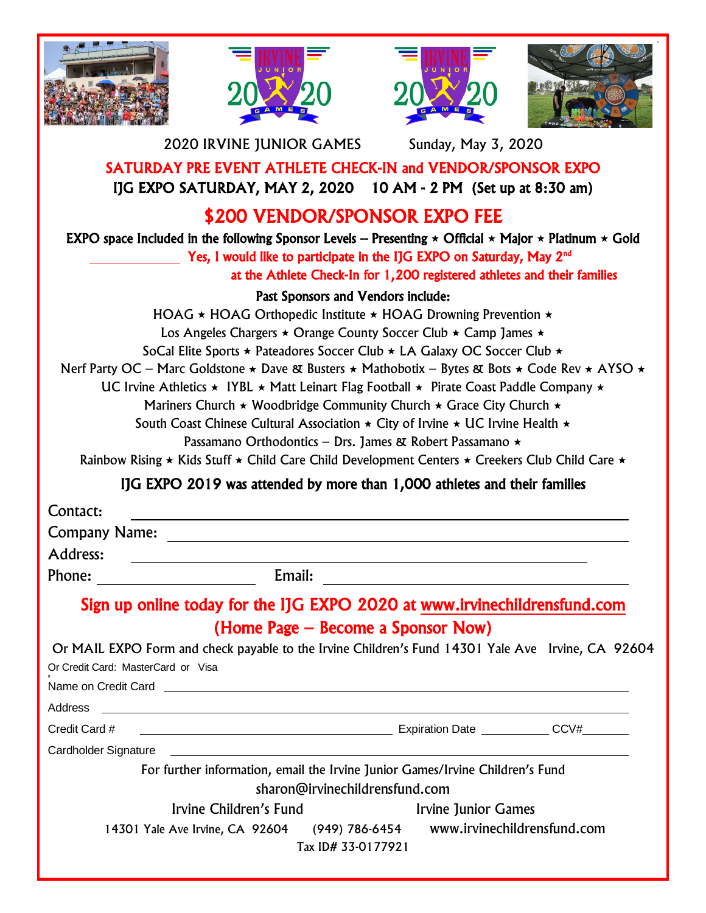







2020 IRVINE JUNIOR GAMES Sunday, May 3, 2020

SATURDAY PRE EVENT ATHLETE CHECK-IN and VENDOR/SPONSOR EXPO IJG EXPO SATURDAY, MAY 2, 2020 10 AM - 2 PM (Set up at 8:30 am)

# \$200 VENDOR/SPONSOR EXPO FEE

EXPO space Included in the following Sponsor Levels – Presenting  $\star$  Official  $\star$  Major  $\star$  Platinum  $\star$  Gold

Yes, I would like to participate in the IJG EXPO on Saturday, May 2nd

at the Athlete Check-In for 1,200 registered athletes and their families

## Past Sponsors and Vendors include:

HOAG  $\star$  HOAG Orthopedic Institute  $\star$  HOAG Drowning Prevention  $\star$ Los Angeles Chargers  $\star$  Orange County Soccer Club  $\star$  Camp James  $\star$ SoCal Elite Sports  $\star$  Pateadores Soccer Club  $\star$  LA Galaxy OC Soccer Club  $\star$ Nerf Party OC – Marc Goldstone  $\star$  Dave & Busters  $\star$  Mathobotix – Bytes & Bots  $\star$  Code Rev  $\star$  AYSO  $\star$ UC Irvine Athletics  $\star$  IYBL  $\star$  Matt Leinart Flag Football  $\star$  Pirate Coast Paddle Company  $\star$ Mariners Church  $\star$  Woodbridge Community Church  $\star$  Grace City Church  $\star$ South Coast Chinese Cultural Association  $\star$  City of Irvine  $\star$  UC Irvine Health  $\star$ Passamano Orthodontics – Drs. James & Robert Passamano  $\star$ Rainbow Rising  $\star$  Kids Stuff  $\star$  Child Care Child Development Centers  $\star$  Creekers Club Child Care  $\star$ 

## IJG EXPO 2019 was attended by more than 1,000 athletes and their families

| Contact:             |                                                                                                                                                                                                                                      |
|----------------------|--------------------------------------------------------------------------------------------------------------------------------------------------------------------------------------------------------------------------------------|
| <b>Company Name:</b> | <u> 1980 - Andrea Stadt Britain, fransk politik (</u>                                                                                                                                                                                |
| <b>Address:</b>      |                                                                                                                                                                                                                                      |
| Phone:               | Email:                                                                                                                                                                                                                               |
|                      | Sign up online today for the IJG EXPO 2020 at www.irvinechildrensfund.com                                                                                                                                                            |
|                      | (Home Page – Become a Sponsor Now)                                                                                                                                                                                                   |
|                      | Or MAIL EXPO Form and check payable to the Irvine Children's Fund 14301 Yale Ave Irvine, CA 92604<br>Or Credit Card: MasterCard or Visa                                                                                              |
|                      | Name on Credit Card <b>Carrier Contract Carrier Contract Carrier Contract Carrier Contract Carrier Contract Carrier Contract Carrier Contract Carrier Contract Carrier Contract Carrier Contract Carrier Contract Carrier Contra</b> |
| Address              |                                                                                                                                                                                                                                      |
| Credit Card #        | Expiration Date CCV#                                                                                                                                                                                                                 |
| Cardholder Signature |                                                                                                                                                                                                                                      |
|                      | For further information, email the Irvine Junior Games/Irvine Children's Fund<br>sharon@irvinechildrensfund.com                                                                                                                      |
|                      | Irvine Children's Fund<br>Irvine Junior Games                                                                                                                                                                                        |
|                      | 14301 Yale Ave Irvine, CA 92604 (949) 786-6454 www.irvinechildrensfund.com<br>Tax ID# 33-0177921                                                                                                                                     |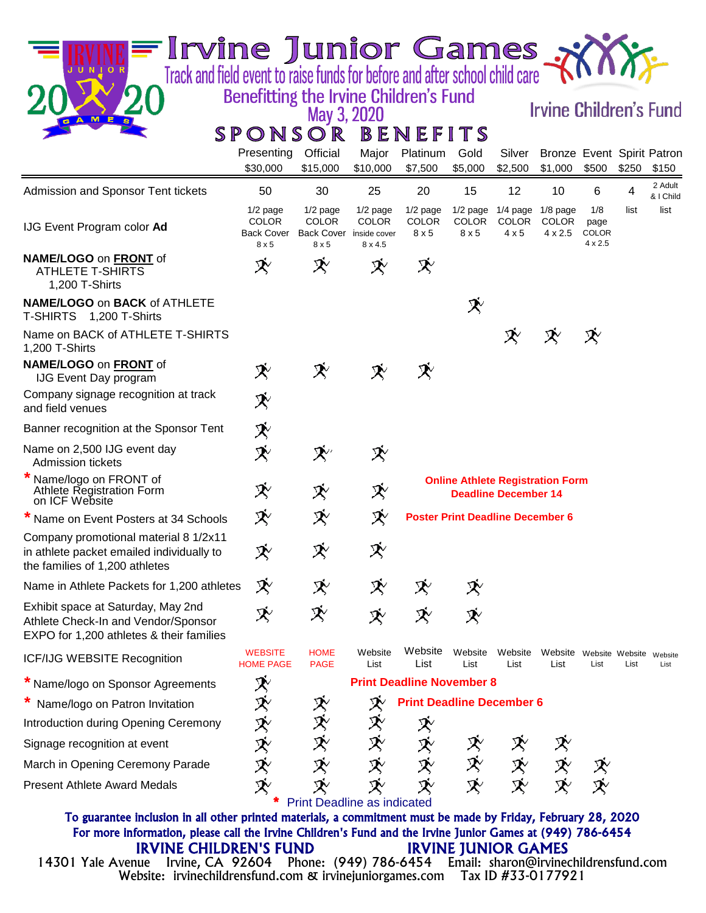| Irvine Junior Games                                                                                                   |                                                                 |                                                                       |                                     |                                   |                                         |                                                       |                                         |                                               |       |                      |
|-----------------------------------------------------------------------------------------------------------------------|-----------------------------------------------------------------|-----------------------------------------------------------------------|-------------------------------------|-----------------------------------|-----------------------------------------|-------------------------------------------------------|-----------------------------------------|-----------------------------------------------|-------|----------------------|
| Track and field event to raise funds for before and after school child care<br>J U N I O R                            |                                                                 |                                                                       |                                     |                                   |                                         |                                                       |                                         |                                               |       |                      |
|                                                                                                                       | Benefitting the Irvine Children's Fund                          | May 3, 2020                                                           |                                     |                                   |                                         |                                                       | <b>Irvine Children's Fund</b>           |                                               |       |                      |
| $M$ $E$ $s$<br>A.                                                                                                     | SPONSOR                                                         |                                                                       |                                     | BENEFITS                          |                                         |                                                       |                                         |                                               |       |                      |
|                                                                                                                       | Presenting<br>\$30,000                                          | Official<br>\$15,000                                                  | Major<br>\$10,000                   | Platinum<br>\$7,500               | Gold<br>\$5,000                         | Silver<br>\$2,500                                     | Bronze Event Spirit Patron<br>\$1,000   | \$500                                         | \$250 | \$150                |
| Admission and Sponsor Tent tickets                                                                                    | 50                                                              | 30                                                                    | 25                                  | 20                                | 15                                      | 12                                                    | 10                                      | 6                                             | 4     | 2 Adult<br>& I Child |
| IJG Event Program color Ad                                                                                            | $1/2$ page<br><b>COLOR</b><br><b>Back Cover</b><br>$8 \times 5$ | $1/2$ page<br><b>COLOR</b><br>Back Cover inside cover<br>$8 \times 5$ | $1/2$ page<br><b>COLOR</b><br>8x4.5 | $1/2$ page<br><b>COLOR</b><br>8x5 | $1/2$ page<br><b>COLOR</b><br>8x5       | $1/4$ page $1/8$ page<br><b>COLOR</b><br>$4 \times 5$ | <b>COLOR</b><br>$4 \times 2.5$          | 1/8<br>page<br><b>COLOR</b><br>$4 \times 2.5$ | list  | list                 |
| NAME/LOGO on FRONT of<br><b>ATHLETE T-SHIRTS</b><br>1,200 T-Shirts                                                    | X                                                               | X                                                                     | X                                   | X                                 |                                         |                                                       |                                         |                                               |       |                      |
| NAME/LOGO on BACK of ATHLETE<br>T-SHIRTS 1,200 T-Shirts                                                               |                                                                 |                                                                       |                                     |                                   | $\mathcal{\dot{R}}$                     |                                                       |                                         |                                               |       |                      |
| Name on BACK of ATHLETE T-SHIRTS<br>1,200 T-Shirts                                                                    |                                                                 |                                                                       |                                     |                                   |                                         |                                                       |                                         | X                                             |       |                      |
| NAME/LOGO on FRONT of<br><b>IJG Event Day program</b>                                                                 | $\mathcal{\tilde{X}}$                                           | $\boldsymbol{\mathcal{R}}$                                            | $\boldsymbol{\mathcal{R}}$          | $\boldsymbol{\mathcal{R}}$        |                                         |                                                       |                                         |                                               |       |                      |
| Company signage recognition at track<br>and field venues                                                              | 氼                                                               |                                                                       |                                     |                                   |                                         |                                                       |                                         |                                               |       |                      |
| Banner recognition at the Sponsor Tent                                                                                | 氼                                                               |                                                                       |                                     |                                   |                                         |                                                       |                                         |                                               |       |                      |
| Name on 2,500 IJG event day<br>Admission tickets                                                                      | $\mathcal{\dot{R}}$                                             | $\mathbf{X}^{\prime}$                                                 | X                                   |                                   |                                         |                                                       |                                         |                                               |       |                      |
| Name/logo on FRONT of<br>Athlete Registration Form<br>on ICF Website                                                  | X                                                               | X                                                                     | 氼                                   |                                   | <b>Online Athlete Registration Form</b> | <b>Deadline December 14</b>                           |                                         |                                               |       |                      |
| * Name on Event Posters at 34 Schools                                                                                 | X                                                               | X                                                                     | X                                   |                                   | <b>Poster Print Deadline December 6</b> |                                                       |                                         |                                               |       |                      |
| Company promotional material 8 1/2x11<br>in athlete packet emailed individually to<br>the families of 1,200 athletes  | ズ                                                               | 氼                                                                     | ズ                                   |                                   |                                         |                                                       |                                         |                                               |       |                      |
| Name in Athlete Packets for 1,200 athletes                                                                            | X                                                               | X                                                                     | X                                   | X                                 | X                                       |                                                       |                                         |                                               |       |                      |
| Exhibit space at Saturday, May 2nd<br>Athlete Check-In and Vendor/Sponsor<br>EXPO for 1,200 athletes & their families | X                                                               | 癶                                                                     | X                                   | X                                 | X                                       |                                                       |                                         |                                               |       |                      |
| ICF/IJG WEBSITE Recognition                                                                                           | <b>WEBSITE</b><br><b>HOME PAGE</b>                              | <b>HOME</b><br><b>PAGE</b>                                            | Website<br>List                     | Website<br>List                   | Website<br>List                         | Website<br>List                                       | Website Website Website Website<br>List | List                                          | List  | List                 |
| * Name/logo on Sponsor Agreements                                                                                     | $\dot{\mathbf{\mathcal{R}}}$                                    |                                                                       |                                     | <b>Print Deadline November 8</b>  |                                         |                                                       |                                         |                                               |       |                      |
| Name/logo on Patron Invitation                                                                                        |                                                                 | X                                                                     | X                                   | <b>Print Deadline December 6</b>  |                                         |                                                       |                                         |                                               |       |                      |
| Introduction during Opening Ceremony                                                                                  |                                                                 | 癶                                                                     | X                                   | X                                 |                                         |                                                       |                                         |                                               |       |                      |
| Signage recognition at event                                                                                          |                                                                 | X                                                                     | X                                   |                                   | X                                       |                                                       |                                         |                                               |       |                      |
| March in Opening Ceremony Parade                                                                                      |                                                                 | X                                                                     | 氼                                   | ズズ                                | 氼                                       | ズ                                                     | X                                       | X                                             |       |                      |
| <b>Present Athlete Award Medals</b>                                                                                   | 灭灭灭灭灭                                                           | X<br><b>Print Deadline as indicated</b>                               | 氼                                   | X                                 | X                                       | X                                                     | X                                       | X                                             |       |                      |
| To guarantee inclusion in all other printed materials, a commitment must be made by Friday, February 28, 2020         |                                                                 |                                                                       |                                     |                                   |                                         |                                                       |                                         |                                               |       |                      |

### For more information, please call the Irvine Children's Fund and the Irvine Junior Games at (949) 786-6454 IRVINE CHILDREN'S FUND IRVINE JUNIOR GAMES

Website: irvinechildrensfund.com & irvinejuniorgames.com Tax ID #33-0177921 14301 Yale Avenue Irvine, CA 92604 Phone: (949) 786-6454 Email: sharon@irvinechildrensfund.com